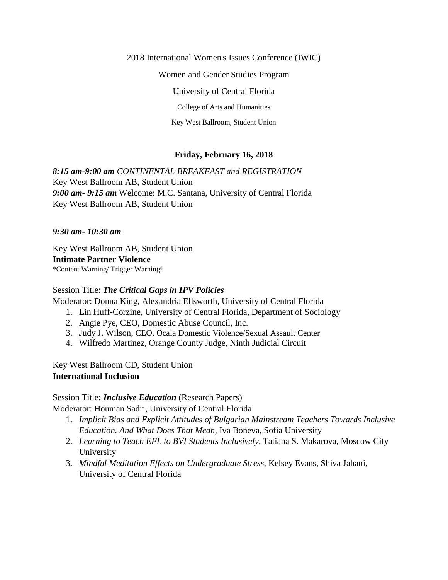2018 International Women's Issues Conference (IWIC)

Women and Gender Studies Program

University of Central Florida

College of Arts and Humanities

Key West Ballroom, Student Union

### **Friday, February 16, 2018**

*8:15 am-9:00 am CONTINENTAL BREAKFAST and REGISTRATION* Key West Ballroom AB, Student Union *9:00 am- 9:15 am* Welcome: M.C. Santana, University of Central Florida Key West Ballroom AB, Student Union

#### *9:30 am- 10:30 am*

Key West Ballroom AB, Student Union **Intimate Partner Violence** \*Content Warning/ Trigger Warning\*

#### Session Title: *The Critical Gaps in IPV Policies*

Moderator: Donna King, Alexandria Ellsworth, University of Central Florida

- 1. Lin Huff-Corzine, University of Central Florida, Department of Sociology
- 2. Angie Pye, CEO, Domestic Abuse Council, Inc.
- 3. Judy J. Wilson, CEO, Ocala Domestic Violence/Sexual Assault Center
- 4. Wilfredo Martinez, Orange County Judge, Ninth Judicial Circuit

Key West Ballroom CD, Student Union **International Inclusion** 

### Session Title**:** *Inclusive Education* (Research Papers)

Moderator: Houman Sadri, University of Central Florida

- 1. *Implicit Bias and Explicit Attitudes of Bulgarian Mainstream Teachers Towards Inclusive Education. And What Does That Mean,* Iva Boneva, Sofia University
- 2. *Learning to Teach EFL to BVI Students Inclusively,* Tatiana S. Makarova, Moscow City University
- 3. *Mindful Meditation Effects on Undergraduate Stress,* Kelsey Evans, Shiva Jahani, University of Central Florida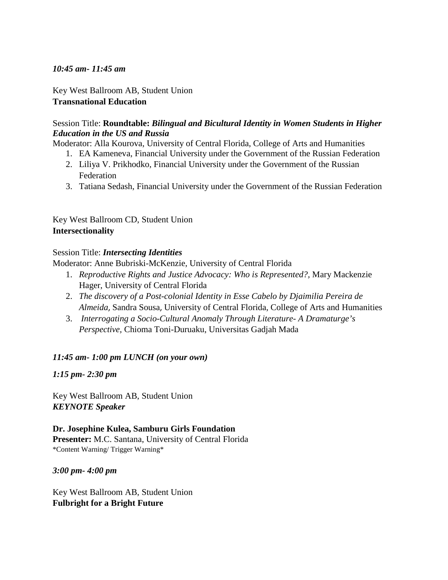#### *10:45 am- 11:45 am*

Key West Ballroom AB, Student Union **Transnational Education**

### Session Title: **Roundtable:** *Bilingual and Bicultural Identity in Women Students in Higher Education in the US and Russia*

Moderator: Alla Kourova, University of Central Florida, College of Arts and Humanities

- 1. EA Kameneva, Financial University under the Government of the Russian Federation
- 2. Liliya V. Prikhodko, Financial University under the Government of the Russian Federation
- 3. Tatiana Sedash, Financial University under the Government of the Russian Federation

Key West Ballroom CD, Student Union **Intersectionality**

### Session Title: *Intersecting Identities*

Moderator: Anne Bubriski-McKenzie, University of Central Florida

- 1. *Reproductive Rights and Justice Advocacy: Who is Represented?,* Mary Mackenzie Hager, University of Central Florida
- 2. *The discovery of a Post-colonial Identity in Esse Cabelo by Djaimilia Pereira de Almeida*, Sandra Sousa, University of Central Florida, College of Arts and Humanities
- 3. *Interrogating a Socio-Cultural Anomaly Through Literature- A Dramaturge's Perspective,* Chioma Toni-Duruaku, Universitas Gadjah Mada

### *11:45 am- 1:00 pm LUNCH (on your own)*

*1:15 pm- 2:30 pm* 

Key West Ballroom AB, Student Union *KEYNOTE Speaker*

**Dr. Josephine Kulea, Samburu Girls Foundation Presenter:** M.C. Santana, University of Central Florida \*Content Warning/ Trigger Warning\*

### *3:00 pm- 4:00 pm*

Key West Ballroom AB, Student Union **Fulbright for a Bright Future**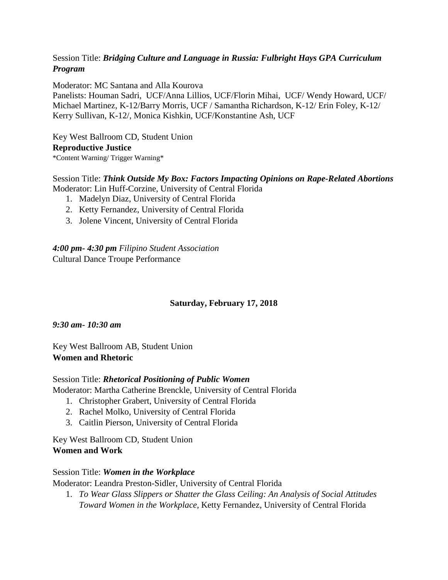## Session Title: *Bridging Culture and Language in Russia: Fulbright Hays GPA Curriculum Program*

Moderator: MC Santana and Alla Kourova

Panelists: Houman Sadri, UCF/Anna Lillios, UCF/Florin Mihai, UCF/ Wendy Howard, UCF/ Michael Martinez, K-12/Barry Morris, UCF / Samantha Richardson, K-12/ Erin Foley, K-12/ Kerry Sullivan, K-12/, Monica Kishkin, UCF/Konstantine Ash, UCF

Key West Ballroom CD, Student Union **Reproductive Justice** \*Content Warning/ Trigger Warning\*

Session Title: *Think Outside My Box: Factors Impacting Opinions on Rape-Related Abortions* Moderator: Lin Huff-Corzine, University of Central Florida

- 1. Madelyn Diaz, University of Central Florida
- 2. Ketty Fernandez, University of Central Florida
- 3. Jolene Vincent, University of Central Florida

*4:00 pm- 4:30 pm Filipino Student Association* Cultural Dance Troupe Performance

### **Saturday, February 17, 2018**

*9:30 am- 10:30 am*

Key West Ballroom AB, Student Union **Women and Rhetoric**

#### Session Title: *Rhetorical Positioning of Public Women* Moderator: Martha Catherine Brenckle, University of Central Florida

- 1. Christopher Grabert, University of Central Florida
- 2. Rachel Molko, University of Central Florida
- 3. Caitlin Pierson, University of Central Florida

Key West Ballroom CD, Student Union **Women and Work**

### Session Title: *Women in the Workplace*

Moderator: Leandra Preston-Sidler, University of Central Florida

1. *To Wear Glass Slippers or Shatter the Glass Ceiling: An Analysis of Social Attitudes Toward Women in the Workplace,* Ketty Fernandez, University of Central Florida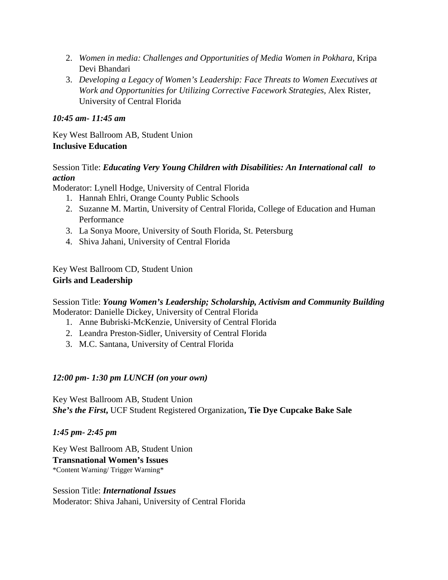- 2. *Women in media: Challenges and Opportunities of Media Women in Pokhara,* Kripa Devi Bhandari
- 3. *Developing a Legacy of Women's Leadership: Face Threats to Women Executives at Work and Opportunities for Utilizing Corrective Facework Strategies,* Alex Rister, University of Central Florida

## *10:45 am- 11:45 am*

Key West Ballroom AB, Student Union **Inclusive Education**

### Session Title: *Educating Very Young Children with Disabilities: An International call to action*

Moderator: Lynell Hodge, University of Central Florida

- 1. Hannah Ehlri, Orange County Public Schools
- 2. Suzanne M. Martin, University of Central Florida, College of Education and Human Performance
- 3. La Sonya Moore, University of South Florida, St. Petersburg
- 4. Shiva Jahani, University of Central Florida

Key West Ballroom CD, Student Union **Girls and Leadership**

Session Title: *Young Women's Leadership; Scholarship, Activism and Community Building* Moderator: Danielle Dickey, University of Central Florida

- 1. Anne Bubriski-McKenzie, University of Central Florida
- 2. Leandra Preston-Sidler, University of Central Florida
- 3. M.C. Santana, University of Central Florida

### *12:00 pm- 1:30 pm LUNCH (on your own)*

Key West Ballroom AB, Student Union *She's the First***,** UCF Student Registered Organization**, Tie Dye Cupcake Bake Sale**

*1:45 pm- 2:45 pm*

Key West Ballroom AB, Student Union **Transnational Women's Issues** \*Content Warning/ Trigger Warning\*

Session Title: *International Issues* Moderator: Shiva Jahani, University of Central Florida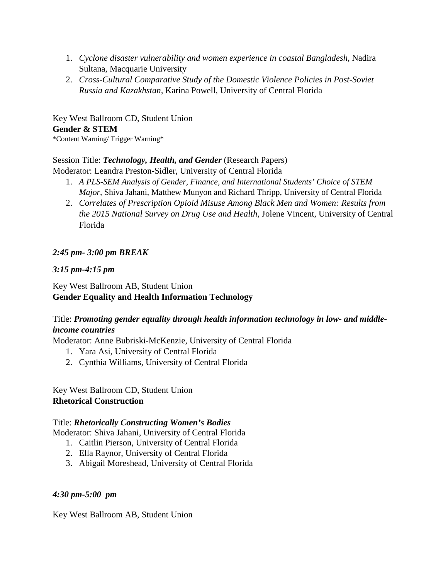- 1. *Cyclone disaster vulnerability and women experience in coastal Bangladesh,* Nadira Sultana, Macquarie University
- 2. *Cross-Cultural Comparative Study of the Domestic Violence Policies in Post-Soviet Russia and Kazakhstan,* Karina Powell, University of Central Florida

Key West Ballroom CD, Student Union **Gender & STEM** \*Content Warning/ Trigger Warning\*

## Session Title: *Technology, Health, and Gender* (Research Papers)

Moderator: Leandra Preston-Sidler, University of Central Florida

- 1. *A PLS-SEM Analysis of Gender, Finance, and International Students' Choice of STEM Major,* Shiva Jahani, Matthew Munyon and Richard Thripp, University of Central Florida
- 2. *Correlates of Prescription Opioid Misuse Among Black Men and Women: Results from the 2015 National Survey on Drug Use and Health*, Jolene Vincent, University of Central Florida

## *2:45 pm- 3:00 pm BREAK*

### *3:15 pm-4:15 pm*

## Key West Ballroom AB, Student Union **Gender Equality and Health Information Technology**

# Title: *Promoting gender equality through health information technology in low- and middleincome countries*

Moderator: Anne Bubriski-McKenzie, University of Central Florida

- 1. Yara Asi, University of Central Florida
- 2. Cynthia Williams, University of Central Florida

Key West Ballroom CD, Student Union **Rhetorical Construction**

### Title: *Rhetorically Constructing Women's Bodies*

Moderator: Shiva Jahani, University of Central Florida

- 1. Caitlin Pierson, University of Central Florida
- 2. Ella Raynor, University of Central Florida
- 3. Abigail Moreshead, University of Central Florida

### *4:30 pm-5:00 pm*

Key West Ballroom AB, Student Union